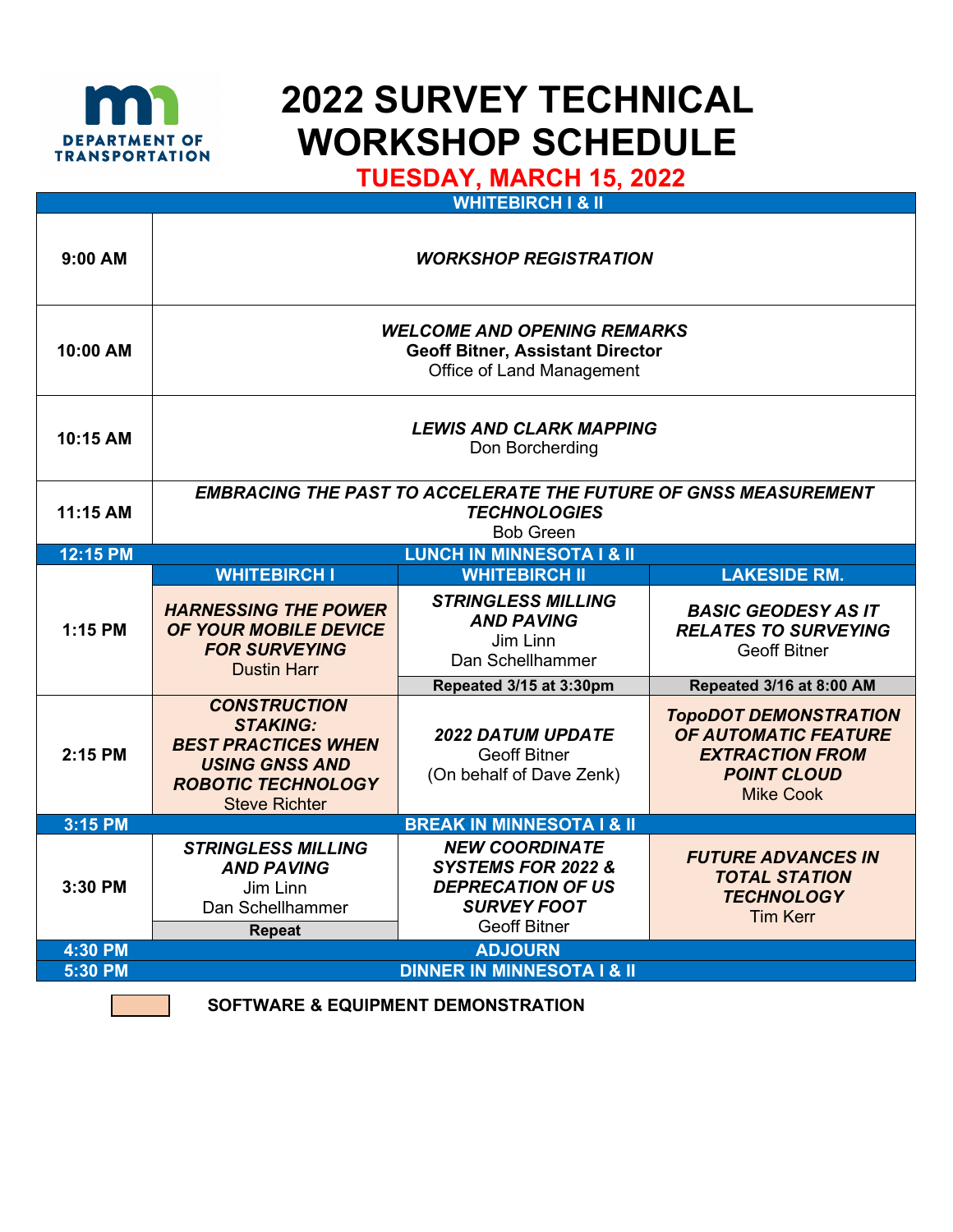

## **2022 SURVEY TECHNICAL WORKSHOP SCHEDULE**

 **TUESDAY, MARCH 15, 2022** 

| $9:00$ AM | <b>WORKSHOP REGISTRATION</b>                                                                                                                       |                                                                                                                      |                                                                                                                                 |  |
|-----------|----------------------------------------------------------------------------------------------------------------------------------------------------|----------------------------------------------------------------------------------------------------------------------|---------------------------------------------------------------------------------------------------------------------------------|--|
| 10:00 AM  | <b>WELCOME AND OPENING REMARKS</b><br><b>Geoff Bitner, Assistant Director</b><br>Office of Land Management                                         |                                                                                                                      |                                                                                                                                 |  |
| 10:15 AM  | <b>LEWIS AND CLARK MAPPING</b><br>Don Borcherding                                                                                                  |                                                                                                                      |                                                                                                                                 |  |
| 11:15 AM  | <b>EMBRACING THE PAST TO ACCELERATE THE FUTURE OF GNSS MEASUREMENT</b><br><b>TECHNOLOGIES</b><br><b>Bob Green</b>                                  |                                                                                                                      |                                                                                                                                 |  |
| 12:15 PM  | <b>LUNCH IN MINNESOTA I &amp; II</b>                                                                                                               |                                                                                                                      |                                                                                                                                 |  |
|           | <b>WHITEBIRCH I</b>                                                                                                                                | <b>WHITEBIRCH II</b>                                                                                                 | <b>LAKESIDE RM.</b>                                                                                                             |  |
| 1:15 PM   | <b>HARNESSING THE POWER</b><br>OF YOUR MOBILE DEVICE<br><b>FOR SURVEYING</b><br><b>Dustin Harr</b>                                                 | <b>STRINGLESS MILLING</b><br><b>AND PAVING</b><br>Jim Linn<br>Dan Schellhammer                                       | <b>BASIC GEODESY AS IT</b><br><b>RELATES TO SURVEYING</b><br><b>Geoff Bitner</b>                                                |  |
|           |                                                                                                                                                    | Repeated 3/15 at 3:30pm                                                                                              | Repeated 3/16 at 8:00 AM                                                                                                        |  |
| 2:15 PM   | <b>CONSTRUCTION</b><br><b>STAKING:</b><br><b>BEST PRACTICES WHEN</b><br><b>USING GNSS AND</b><br><b>ROBOTIC TECHNOLOGY</b><br><b>Steve Richter</b> | <b>2022 DATUM UPDATE</b><br><b>Geoff Bitner</b><br>(On behalf of Dave Zenk)                                          | <b>TOPODOT DEMONSTRATION</b><br><b>OF AUTOMATIC FEATURE</b><br><b>EXTRACTION FROM</b><br><b>POINT CLOUD</b><br><b>Mike Cook</b> |  |
| 3:15 PM   |                                                                                                                                                    | <b>BREAK IN MINNESOTA I &amp; II</b>                                                                                 |                                                                                                                                 |  |
| 3:30 PM   | <b>STRINGLESS MILLING</b><br><b>AND PAVING</b><br>Jim Linn<br>Dan Schellhammer<br><b>Repeat</b>                                                    | <b>NEW COORDINATE</b><br>SYSTEMS FOR 2022 &<br><b>DEPRECATION OF US</b><br><b>SURVEY FOOT</b><br><b>Geoff Bitner</b> | <b>FUTURE ADVANCES IN</b><br><b>TOTAL STATION</b><br><b>TECHNOLOGY</b><br><b>Tim Kerr</b>                                       |  |
| 4:30 PM   | <b>ADJOURN</b>                                                                                                                                     |                                                                                                                      |                                                                                                                                 |  |
| 5:30 PM   | <b>DINNER IN MINNESOTA I &amp; II</b>                                                                                                              |                                                                                                                      |                                                                                                                                 |  |
|           |                                                                                                                                                    |                                                                                                                      |                                                                                                                                 |  |

 **SOFTWARE & EQUIPMENT DEMONSTRATION**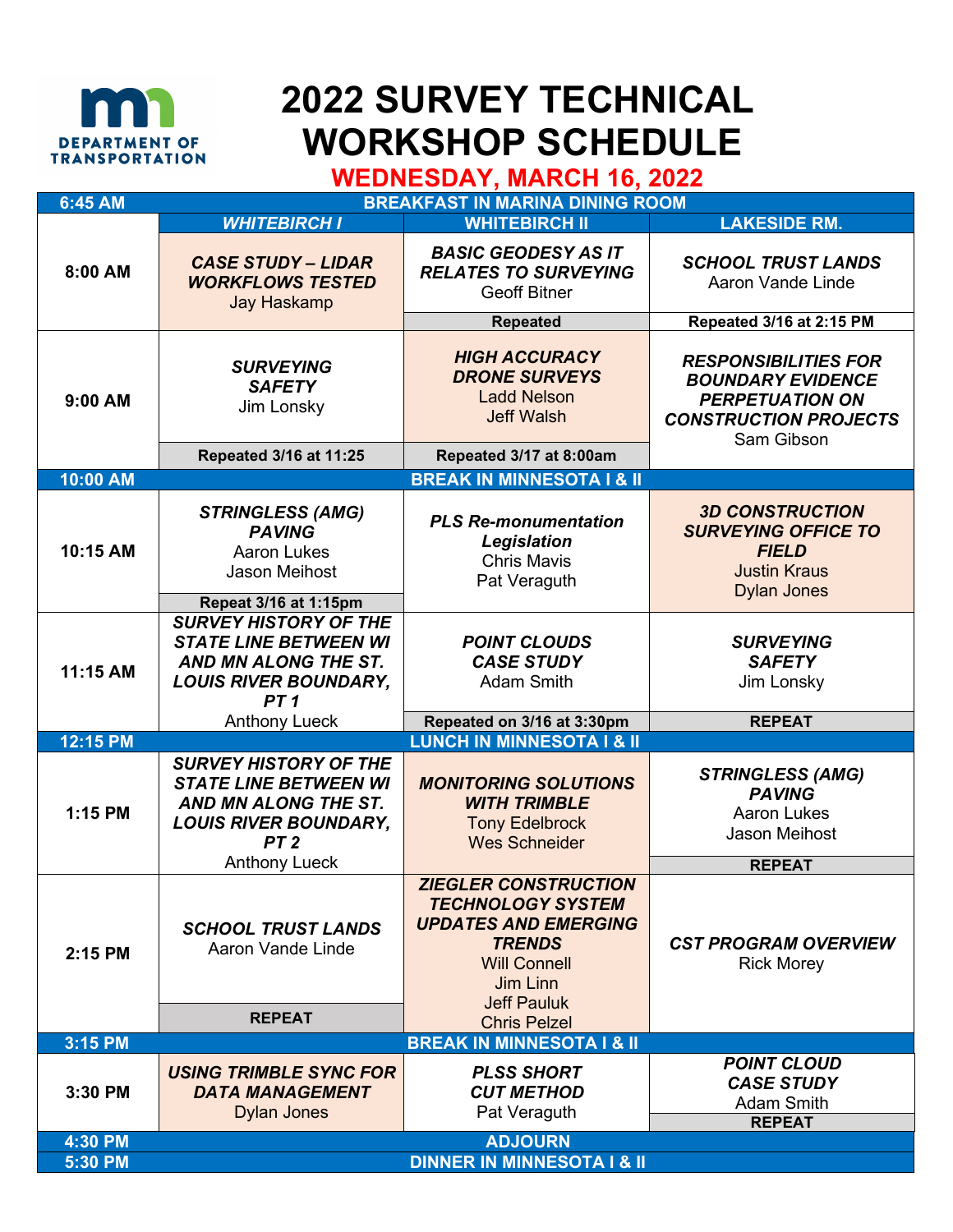

## **2022 SURVEY TECHNICAL MEDIRATMENT OF WORKSHOP SCHEDULE**<br>WEDNESDAY, MARCH 16, 2022

| 6:45 AM                   | <b>BREAKFAST IN MARINA DINING ROOM</b>                                                                                                  |                                                                                                                                                                         |                                                                                                                                 |  |  |
|---------------------------|-----------------------------------------------------------------------------------------------------------------------------------------|-------------------------------------------------------------------------------------------------------------------------------------------------------------------------|---------------------------------------------------------------------------------------------------------------------------------|--|--|
| 8:00 AM                   | <b>WHITEBIRCH I</b>                                                                                                                     | <b>WHITEBIRCH II</b>                                                                                                                                                    | <b>LAKESIDE RM.</b>                                                                                                             |  |  |
|                           | <b>CASE STUDY - LIDAR</b><br><b>WORKFLOWS TESTED</b><br><b>Jay Haskamp</b>                                                              | <b>BASIC GEODESY AS IT</b><br><b>RELATES TO SURVEYING</b><br><b>Geoff Bitner</b>                                                                                        | <b>SCHOOL TRUST LANDS</b><br>Aaron Vande Linde                                                                                  |  |  |
|                           |                                                                                                                                         | <b>Repeated</b>                                                                                                                                                         | Repeated 3/16 at 2:15 PM                                                                                                        |  |  |
| 9:00 AM                   | <b>SURVEYING</b><br><b>SAFETY</b><br>Jim Lonsky                                                                                         | <b>HIGH ACCURACY</b><br><b>DRONE SURVEYS</b><br><b>Ladd Nelson</b><br><b>Jeff Walsh</b><br>Repeated 3/17 at 8:00am                                                      | <b>RESPONSIBILITIES FOR</b><br><b>BOUNDARY EVIDENCE</b><br><b>PERPETUATION ON</b><br><b>CONSTRUCTION PROJECTS</b><br>Sam Gibson |  |  |
|                           | Repeated 3/16 at 11:25                                                                                                                  |                                                                                                                                                                         |                                                                                                                                 |  |  |
| 10:00 AM                  |                                                                                                                                         | <b>BREAK IN MINNESOTA I &amp; II</b>                                                                                                                                    |                                                                                                                                 |  |  |
| 10:15 AM                  | <b>STRINGLESS (AMG)</b><br><b>PAVING</b><br><b>Aaron Lukes</b><br>Jason Meihost                                                         | <b>PLS Re-monumentation</b><br>Legislation<br><b>Chris Mavis</b><br>Pat Veraguth                                                                                        | <b>3D CONSTRUCTION</b><br><b>SURVEYING OFFICE TO</b><br><b>FIELD</b><br><b>Justin Kraus</b><br><b>Dylan Jones</b>               |  |  |
|                           | Repeat 3/16 at 1:15pm                                                                                                                   |                                                                                                                                                                         |                                                                                                                                 |  |  |
| 11:15 AM                  | <b>SURVEY HISTORY OF THE</b><br><b>STATE LINE BETWEEN WI</b><br>AND MN ALONG THE ST.<br><b>LOUIS RIVER BOUNDARY,</b><br>PT <sub>1</sub> | <b>POINT CLOUDS</b><br><b>CASE STUDY</b><br><b>Adam Smith</b>                                                                                                           | <b>SURVEYING</b><br><b>SAFETY</b><br>Jim Lonsky                                                                                 |  |  |
|                           | <b>Anthony Lueck</b>                                                                                                                    | Repeated on 3/16 at 3:30pm                                                                                                                                              | <b>REPEAT</b>                                                                                                                   |  |  |
| 12:15 PM                  |                                                                                                                                         | <b>LUNCH IN MINNESOTA I &amp; II</b>                                                                                                                                    |                                                                                                                                 |  |  |
| 1:15 PM                   | <b>SURVEY HISTORY OF THE</b><br><b>STATE LINE BETWEEN WI</b><br>AND MN ALONG THE ST.<br><b>LOUIS RIVER BOUNDARY,</b><br>PT <sub>2</sub> | <b>MONITORING SOLUTIONS</b><br><b>WITH TRIMBLE</b><br><b>Tony Edelbrock</b><br><b>Wes Schneider</b>                                                                     | <b>STRINGLESS (AMG)</b><br><b>PAVING</b><br><b>Aaron Lukes</b><br>Jason Meihost                                                 |  |  |
|                           | <b>Anthony Lueck</b>                                                                                                                    |                                                                                                                                                                         | <b>REPEAT</b>                                                                                                                   |  |  |
| 2:15 PM                   | <b>SCHOOL TRUST LANDS</b><br>Aaron Vande Linde                                                                                          | <b>ZIEGLER CONSTRUCTION</b><br><b>TECHNOLOGY SYSTEM</b><br><b>UPDATES AND EMERGING</b><br><b>TRENDS</b><br><b>Will Connell</b><br><b>Jim Linn</b><br><b>Jeff Pauluk</b> | <b>CST PROGRAM OVERVIEW</b><br><b>Rick Morey</b>                                                                                |  |  |
|                           | <b>REPEAT</b>                                                                                                                           | <b>Chris Pelzel</b>                                                                                                                                                     |                                                                                                                                 |  |  |
| 3:15 PM                   |                                                                                                                                         | <b>BREAK IN MINNESOTA I &amp; II</b>                                                                                                                                    |                                                                                                                                 |  |  |
| 3:30 PM                   | <b>USING TRIMBLE SYNC FOR</b><br><b>DATA MANAGEMENT</b><br><b>Dylan Jones</b>                                                           | <b>PLSS SHORT</b><br><b>CUT METHOD</b><br>Pat Veraguth                                                                                                                  | <b>POINT CLOUD</b><br><b>CASE STUDY</b><br><b>Adam Smith</b><br><b>REPEAT</b>                                                   |  |  |
| <b>ADJOURN</b><br>4:30 PM |                                                                                                                                         |                                                                                                                                                                         |                                                                                                                                 |  |  |
| 5:30 PM                   | <b>DINNER IN MINNESOTA I &amp; II</b>                                                                                                   |                                                                                                                                                                         |                                                                                                                                 |  |  |